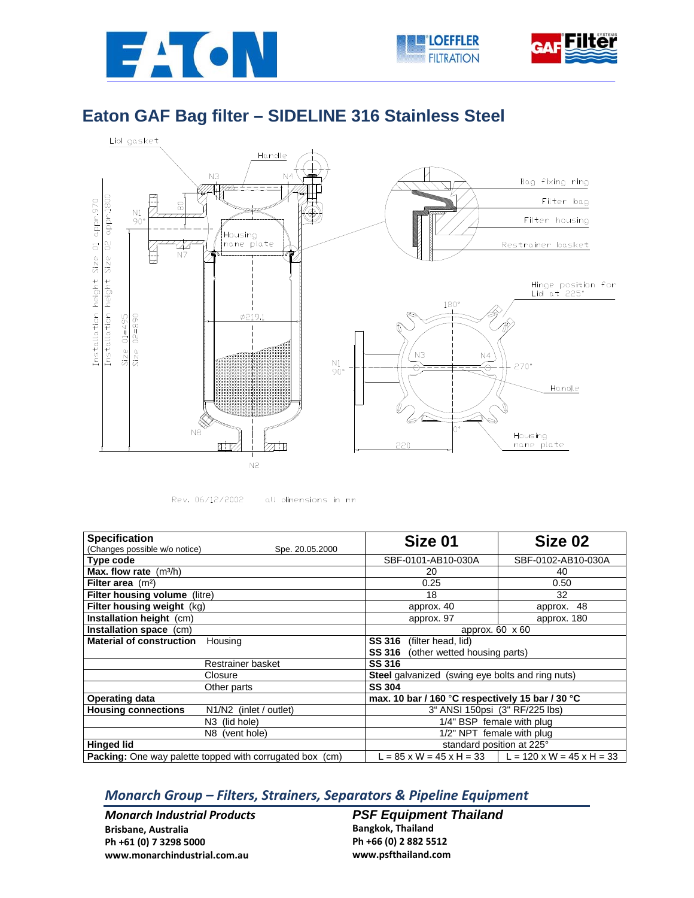





## **Eaton GAF Bag filter – SIDELINE 316 Stainless Steel**





all dimensions in mm

| <b>Specification</b>                                            | Size 01                                                 | Size 02                                                          |  |
|-----------------------------------------------------------------|---------------------------------------------------------|------------------------------------------------------------------|--|
| (Changes possible w/o notice)<br>Spe. 20.05.2000                |                                                         |                                                                  |  |
| Type code                                                       | SBF-0101-AB10-030A                                      | SBF-0102-AB10-030A                                               |  |
| <b>Max. flow rate</b> $(m^3/h)$                                 | 20                                                      | 40                                                               |  |
| Filter area $(m2)$                                              | 0.25                                                    | 0.50                                                             |  |
| Filter housing volume (litre)                                   | 18                                                      | 32                                                               |  |
| Filter housing weight (kg)                                      | approx. 40                                              | 48<br>approx.                                                    |  |
| Installation height (cm)                                        | approx. 97                                              | approx. 180                                                      |  |
| Installation space (cm)                                         | approx. 60 x 60                                         |                                                                  |  |
| <b>Material of construction</b><br>Housing                      | <b>SS 316</b><br>(filter head, lid)                     |                                                                  |  |
|                                                                 | (other wetted housing parts)<br><b>SS 316</b>           |                                                                  |  |
| Restrainer basket                                               | <b>SS 316</b>                                           |                                                                  |  |
| Closure                                                         | <b>Steel</b> galvanized (swing eye bolts and ring nuts) |                                                                  |  |
| Other parts                                                     | <b>SS 304</b>                                           |                                                                  |  |
| <b>Operating data</b>                                           | max. 10 bar / 160 °C respectively 15 bar / 30 °C        |                                                                  |  |
| <b>Housing connections</b><br>N1/N2 (inlet / outlet)            | 3" ANSI 150psi (3" RF/225 lbs)                          |                                                                  |  |
| N <sub>3</sub> (lid hole)                                       | 1/4" BSP female with plug                               |                                                                  |  |
| N8 (vent hole)                                                  | 1/2" NPT female with plug                               |                                                                  |  |
| <b>Hinged lid</b>                                               | standard position at 225°                               |                                                                  |  |
| <b>Packing:</b> One way palette topped with corrugated box (cm) |                                                         | $L = 85$ x W = 45 x H = 33 $\parallel L = 120$ x W = 45 x H = 33 |  |

## *Monarch Group – Filters, Strainers, Separators & Pipeline Equipment*

*Monarch Industrial Products* **Brisbane, Australia Ph +61 (0) 7 3298 5000 www.monarchindustrial.com.au**

**PSF Equipment Thailand Bangkok, Thailand**

**Ph +66 (0) 2 882 5512 www.psfthailand.com**